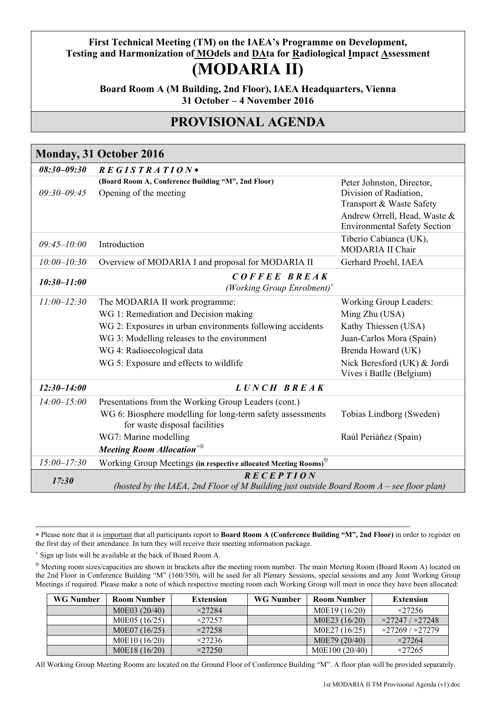## **First Technical Meeting (TM) on the IAEA's Programme on Development,**  Testing and Harmonization of **MO**dels and **DAta for Radiological Impact Assessment (MODARIA II)**

**Board Room A (M Building, 2nd Floor), IAEA Headquarters, Vienna 31 October – 4 November 2016**

## **PROVISIONAL AGENDA**

| Monday, 31 October 2016 |                                                                                                                                                                                                                                                             |                                                                                                                                                                                      |
|-------------------------|-------------------------------------------------------------------------------------------------------------------------------------------------------------------------------------------------------------------------------------------------------------|--------------------------------------------------------------------------------------------------------------------------------------------------------------------------------------|
| $08:30 - 09:30$         | $REGISTRA$ <i>TION</i> *                                                                                                                                                                                                                                    |                                                                                                                                                                                      |
| $09:30 - 09:45$         | (Board Room A, Conference Building "M", 2nd Floor)<br>Opening of the meeting                                                                                                                                                                                | Peter Johnston, Director,<br>Division of Radiation,<br>Transport & Waste Safety<br>Andrew Orrell, Head, Waste &<br><b>Environmental Safety Section</b>                               |
| $09:45 - 10:00$         | Introduction                                                                                                                                                                                                                                                | Tiberio Cabianca (UK),<br>MODARIA II Chair                                                                                                                                           |
| $10:00 - 10:30$         | Overview of MODARIA I and proposal for MODARIA II                                                                                                                                                                                                           | Gerhard Proehl, IAEA                                                                                                                                                                 |
| $10:30 - 11:00$         | COFFEE BREAK<br>(Working Group Enrolment) <sup>+</sup>                                                                                                                                                                                                      |                                                                                                                                                                                      |
| $11:00 - 12:30$         | The MODARIA II work programme:<br>WG 1: Remediation and Decision making<br>WG 2: Exposures in urban environments following accidents<br>WG 3: Modelling releases to the environment<br>WG 4: Radioecological data<br>WG 5: Exposure and effects to wildlife | <b>Working Group Leaders:</b><br>Ming Zhu (USA)<br>Kathy Thiessen (USA)<br>Juan-Carlos Mora (Spain)<br>Brenda Howard (UK)<br>Nick Beresford (UK) & Jordi<br>Vives i Batlle (Belgium) |
| $12:30 - 14:00$         | LUNCH BREAK                                                                                                                                                                                                                                                 |                                                                                                                                                                                      |
| $14:00 - 15:00$         | Presentations from the Working Group Leaders (cont.)<br>WG 6: Biosphere modelling for long-term safety assessments<br>for waste disposal facilities<br>WG7: Marine modelling<br>Meeting Room Allocation <sup>+<math>\oplus</math></sup>                     | Tobias Lindborg (Sweden)<br>Raúl Periáñez (Spain)                                                                                                                                    |
| $15:00 - 17:30$         | Working Group Meetings (in respective allocated Meeting Rooms) <sup>®</sup>                                                                                                                                                                                 |                                                                                                                                                                                      |
| 17:30                   | R E C E P T I O N<br>(hosted by the IAEA, 2nd Floor of M Building just outside Board Room $A$ – see floor plan)                                                                                                                                             |                                                                                                                                                                                      |

 Please note that it is important that all participants report to **Board Room A (Conference Building "M", 2nd Floor)** in order to register on the first day of their attendance. In turn they will receive their meeting information package.

 $\mathcal{L}_\mathcal{L} = \{ \mathcal{L}_\mathcal{L} = \{ \mathcal{L}_\mathcal{L} = \{ \mathcal{L}_\mathcal{L} = \{ \mathcal{L}_\mathcal{L} = \{ \mathcal{L}_\mathcal{L} = \{ \mathcal{L}_\mathcal{L} = \{ \mathcal{L}_\mathcal{L} = \{ \mathcal{L}_\mathcal{L} = \{ \mathcal{L}_\mathcal{L} = \{ \mathcal{L}_\mathcal{L} = \{ \mathcal{L}_\mathcal{L} = \{ \mathcal{L}_\mathcal{L} = \{ \mathcal{L}_\mathcal{L} = \{ \mathcal{L}_\mathcal{$ 

Sign up lists will be available at the back of Board Room A.

 $\oplus$  Meeting room sizes/capacities are shown in brackets after the meeting room number. The main Meeting Room (Board Room A) located on the 2nd Floor in Conference Building "M" (160/350), will be used for all Plenary Sessions, special sessions and any Joint Working Group Meetings if required. Please make a note of which respective meeting room each Working Group will meet in once they have been allocated:

| <b>WG Number</b> | <b>Room Number</b> | <b>Extension</b> | <b>WG Number</b> | <b>Room Number</b> | <b>Extension</b>                |
|------------------|--------------------|------------------|------------------|--------------------|---------------------------------|
|                  | M0E03 (20/40)      | $\times$ 27284   |                  | M0E19 (16/20)      | $\times$ 27256                  |
|                  | M0E05 (16/25)      | $\times$ 27257   |                  | M0E23 (16/20)      | $\times$ 27247 / $\times$ 27248 |
|                  | M0E07 (16/25)      | $\times$ 27258   |                  | M0E27 (16/25)      | $\times$ 27269 / $\times$ 27279 |
|                  | M0E10 (16/20)      | $\times$ 27236   |                  | M0E79 (20/40)      | $\times$ 27264                  |
|                  | M0E18 (16/20)      | $\times$ 27250   |                  | M0E100 (20/40)     | $\times$ 27265                  |

All Working Group Meeting Rooms are located on the Ground Floor of Conference Building "M". A floor plan will be provided separately.